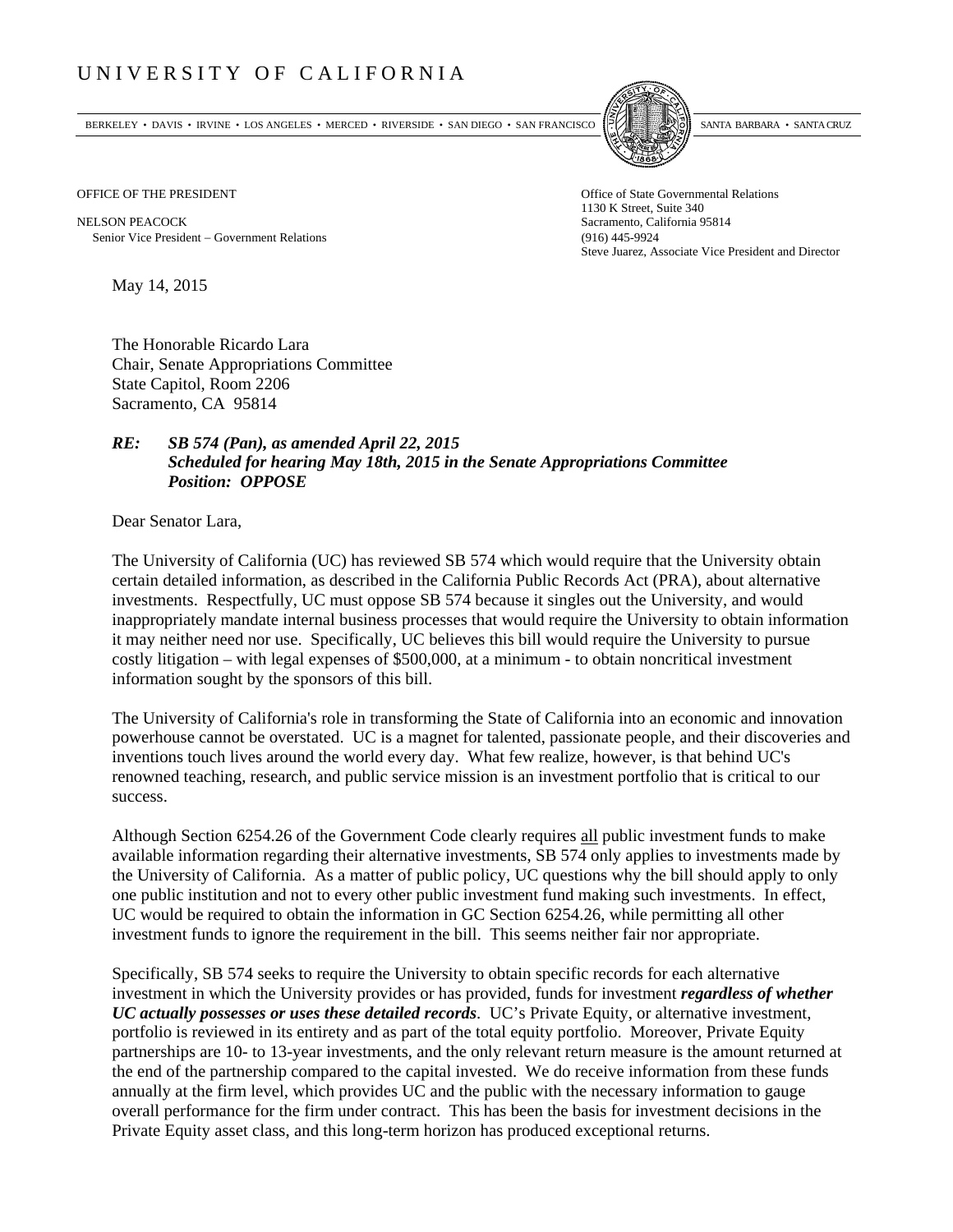## UNIVERSITY OF CALIFORNIA

BERKELEY • DAVIS • IRVINE • LOS ANGELES • MERCED • RIVERSIDE • SAN DIEGO • SAN FRANCISCO SANTA BARBARA • SANTA CRUZ



1130 K Street, Suite 340 Steve Juarez, Associate Vice President and Director

OFFICE OF THE PRESIDENT STATES OF THE PRESIDENT

NELSON PEACOCK Sacramento, California 95814 Senior Vice President Government Relations (916) 445-9924

May 14, 2015

The Honorable Ricardo Lara Chair, Senate Appropriations Committee State Capitol, Room 2206 Sacramento, CA 95814

## *RE: SB 574 (Pan), as amended April 22, 2015 Scheduled for hearing May 18th, 2015 in the Senate Appropriations Committee Position: OPPOSE*

Dear Senator Lara,

The University of California (UC) has reviewed SB 574 which would require that the University obtain certain detailed information, as described in the California Public Records Act (PRA), about alternative investments. Respectfully, UC must oppose SB 574 because it singles out the University, and would inappropriately mandate internal business processes that would require the University to obtain information it may neither need nor use. Specifically, UC believes this bill would require the University to pursue costly litigation – with legal expenses of \$500,000, at a minimum - to obtain noncritical investment information sought by the sponsors of this bill.

The University of California's role in transforming the State of California into an economic and innovation powerhouse cannot be overstated. UC is a magnet for talented, passionate people, and their discoveries and inventions touch lives around the world every day. What few realize, however, is that behind UC's renowned teaching, research, and public service mission is an investment portfolio that is critical to our success.

Although Section 6254.26 of the Government Code clearly requires all public investment funds to make available information regarding their alternative investments, SB 574 only applies to investments made by the University of California. As a matter of public policy, UC questions why the bill should apply to only one public institution and not to every other public investment fund making such investments. In effect, UC would be required to obtain the information in GC Section 6254.26, while permitting all other investment funds to ignore the requirement in the bill. This seems neither fair nor appropriate.

Specifically, SB 574 seeks to require the University to obtain specific records for each alternative investment in which the University provides or has provided, funds for investment *regardless of whether UC actually possesses or uses these detailed records*. UC's Private Equity, or alternative investment, portfolio is reviewed in its entirety and as part of the total equity portfolio. Moreover, Private Equity partnerships are 10- to 13-year investments, and the only relevant return measure is the amount returned at the end of the partnership compared to the capital invested. We do receive information from these funds annually at the firm level, which provides UC and the public with the necessary information to gauge overall performance for the firm under contract. This has been the basis for investment decisions in the Private Equity asset class, and this long-term horizon has produced exceptional returns.